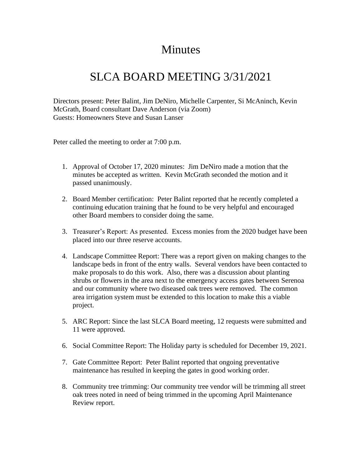## Minutes

## SLCA BOARD MEETING 3/31/2021

Directors present: Peter Balint, Jim DeNiro, Michelle Carpenter, Si McAninch, Kevin McGrath, Board consultant Dave Anderson (via Zoom) Guests: Homeowners Steve and Susan Lanser

Peter called the meeting to order at 7:00 p.m.

- 1. Approval of October 17, 2020 minutes: Jim DeNiro made a motion that the minutes be accepted as written. Kevin McGrath seconded the motion and it passed unanimously.
- 2. Board Member certification: Peter Balint reported that he recently completed a continuing education training that he found to be very helpful and encouraged other Board members to consider doing the same.
- 3. Treasurer's Report: As presented. Excess monies from the 2020 budget have been placed into our three reserve accounts.
- 4. Landscape Committee Report: There was a report given on making changes to the landscape beds in front of the entry walls. Several vendors have been contacted to make proposals to do this work. Also, there was a discussion about planting shrubs or flowers in the area next to the emergency access gates between Serenoa and our community where two diseased oak trees were removed. The common area irrigation system must be extended to this location to make this a viable project.
- 5. ARC Report: Since the last SLCA Board meeting, 12 requests were submitted and 11 were approved.
- 6. Social Committee Report: The Holiday party is scheduled for December 19, 2021.
- 7. Gate Committee Report: Peter Balint reported that ongoing preventative maintenance has resulted in keeping the gates in good working order.
- 8. Community tree trimming: Our community tree vendor will be trimming all street oak trees noted in need of being trimmed in the upcoming April Maintenance Review report.